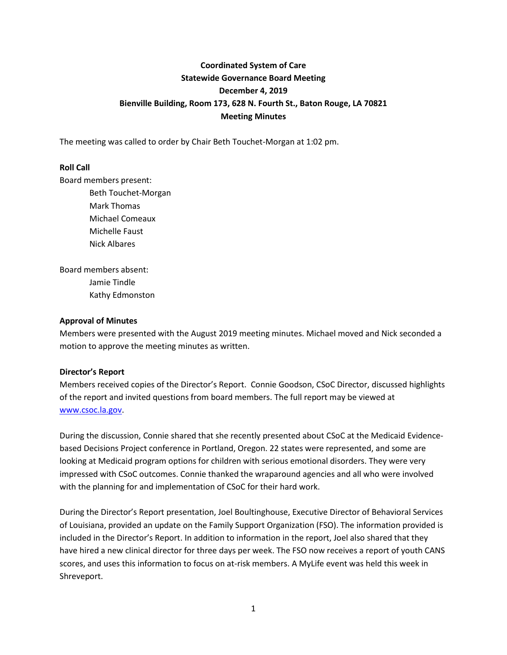# **Coordinated System of Care Statewide Governance Board Meeting December 4, 2019 Bienville Building, Room 173, 628 N. Fourth St., Baton Rouge, LA 70821 Meeting Minutes**

The meeting was called to order by Chair Beth Touchet-Morgan at 1:02 pm.

# **Roll Call**

Board members present:

Beth Touchet-Morgan Mark Thomas Michael Comeaux Michelle Faust Nick Albares

Board members absent: Jamie Tindle Kathy Edmonston

### **Approval of Minutes**

Members were presented with the August 2019 meeting minutes. Michael moved and Nick seconded a motion to approve the meeting minutes as written.

### **Director's Report**

Members received copies of the Director's Report. Connie Goodson, CSoC Director, discussed highlights of the report and invited questions from board members. The full report may be viewed at [www.csoc.la.gov.](http://www.csoc.la.gov/)

During the discussion, Connie shared that she recently presented about CSoC at the Medicaid Evidencebased Decisions Project conference in Portland, Oregon. 22 states were represented, and some are looking at Medicaid program options for children with serious emotional disorders. They were very impressed with CSoC outcomes. Connie thanked the wraparound agencies and all who were involved with the planning for and implementation of CSoC for their hard work.

During the Director's Report presentation, Joel Boultinghouse, Executive Director of Behavioral Services of Louisiana, provided an update on the Family Support Organization (FSO). The information provided is included in the Director's Report. In addition to information in the report, Joel also shared that they have hired a new clinical director for three days per week. The FSO now receives a report of youth CANS scores, and uses this information to focus on at-risk members. A MyLife event was held this week in Shreveport.